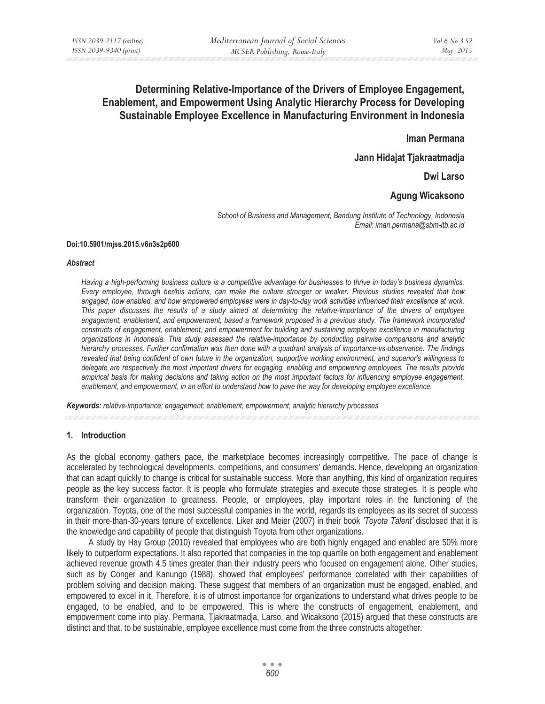# **Determining Relative-Importance of the Drivers of Employee Engagement, Enablement, and Empowerment Using Analytic Hierarchy Process for Developing Sustainable Employee Excellence in Manufacturing Environment in Indonesia**

**Iman Permana** 

**Jann Hidajat Tjakraatmadja** 

**Dwi Larso** 

# **Agung Wicaksono**

*School of Business and Management, Bandung Institute of Technology, Indonesia Email: iman.permana@sbm-itb.ac.id* 

#### **Doi:10.5901/mjss.2015.v6n3s2p600**

#### *Abstract*

*Having a high-performing business culture is a competitive advantage for businesses to thrive in today's business dynamics. Every employee, through her/his actions, can make the culture stronger or weaker. Previous studies revealed that how engaged, how enabled, and how empowered employees were in day-to-day work activities influenced their excellence at work. This paper discusses the results of a study aimed at determining the relative-importance of the drivers of employee*  engagement, enablement, and empowerment, based a framework proposed in a previous study. The framework incorporated *constructs of engagement, enablement, and empowerment for building and sustaining employee excellence in manufacturing organizations in Indonesia. This study assessed the relative-importance by conducting pairwise comparisons and analytic hierarchy processes. Further confirmation was then done with a quadrant analysis of importance-vs-observance. The findings revealed that being confident of own future in the organization, supportive working environment, and superior's willingness to delegate are respectively the most important drivers for engaging, enabling and empowering employees. The results provide* empirical basis for making decisions and taking action on the most important factors for influencing employee engagement, enablement, and empowerment, in an effort to understand how to pave the way for developing employee excellence.

*Keywords: relative-importance; engagement; enablement; empowerment; analytic hierarchy processes*

# **1. Introduction**

As the global economy gathers pace, the marketplace becomes increasingly competitive. The pace of change is accelerated by technological developments, competitions, and consumers' demands. Hence, developing an organization that can adapt quickly to change is critical for sustainable success. More than anything, this kind of organization requires people as the key success factor. It is people who formulate strategies and execute those strategies. It is people who transform their organization to greatness. People, or employees, play important roles in the functioning of the organization. Toyota, one of the most successful companies in the world, regards its employees as its secret of success in their more-than-30-years tenure of excellence. Liker and Meier (2007) in their book *'Toyota Talent'* disclosed that it is the knowledge and capability of people that distinguish Toyota from other organizations.

A study by Hay Group (2010) revealed that employees who are both highly engaged and enabled are 50% more likely to outperform expectations. It also reported that companies in the top quartile on both engagement and enablement achieved revenue growth 4.5 times greater than their industry peers who focused on engagement alone. Other studies, such as by Conger and Kanungo (1988), showed that employees' performance correlated with their capabilities of problem solving and decision making. These suggest that members of an organization must be engaged, enabled, and empowered to excel in it. Therefore, it is of utmost importance for organizations to understand what drives people to be engaged, to be enabled, and to be empowered. This is where the constructs of engagement, enablement, and empowerment come into play. Permana, Tjakraatmadja, Larso, and Wicaksono (2015) argued that these constructs are distinct and that, to be sustainable, employee excellence must come from the three constructs altogether.

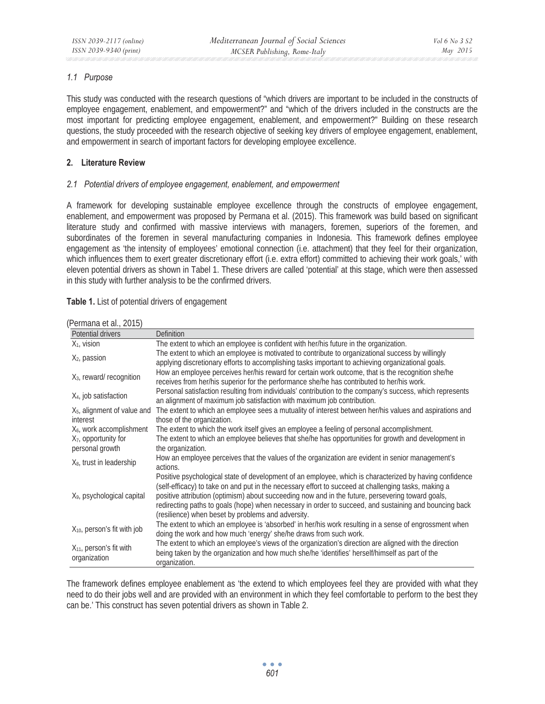# *1.1 Purpose*

This study was conducted with the research questions of "which drivers are important to be included in the constructs of employee engagement, enablement, and empowerment?" and "which of the drivers included in the constructs are the most important for predicting employee engagement, enablement, and empowerment?" Building on these research questions, the study proceeded with the research objective of seeking key drivers of employee engagement, enablement, and empowerment in search of important factors for developing employee excellence.

# **2. Literature Review**

# *2.1 Potential drivers of employee engagement, enablement, and empowerment*

A framework for developing sustainable employee excellence through the constructs of employee engagement, enablement, and empowerment was proposed by Permana et al. (2015). This framework was build based on significant literature study and confirmed with massive interviews with managers, foremen, superiors of the foremen, and subordinates of the foremen in several manufacturing companies in Indonesia. This framework defines employee engagement as 'the intensity of employees' emotional connection (i.e. attachment) that they feel for their organization, which influences them to exert greater discretionary effort (i.e. extra effort) committed to achieving their work goals,' with eleven potential drivers as shown in Tabel 1. These drivers are called 'potential' at this stage, which were then assessed in this study with further analysis to be the confirmed drivers.

| Permana et al., 2015)                               |                                                                                                                                                                                                                                                                                                                                                                                                                                                                                      |
|-----------------------------------------------------|--------------------------------------------------------------------------------------------------------------------------------------------------------------------------------------------------------------------------------------------------------------------------------------------------------------------------------------------------------------------------------------------------------------------------------------------------------------------------------------|
| Potential drivers                                   | <b>Definition</b>                                                                                                                                                                                                                                                                                                                                                                                                                                                                    |
| $X_1$ , vision                                      | The extent to which an employee is confident with her/his future in the organization.                                                                                                                                                                                                                                                                                                                                                                                                |
| X <sub>2</sub> , passion                            | The extent to which an employee is motivated to contribute to organizational success by willingly<br>applying discretionary efforts to accomplishing tasks important to achieving organizational goals.                                                                                                                                                                                                                                                                              |
| X <sub>3</sub> , reward/recognition                 | How an employee perceives her/his reward for certain work outcome, that is the recognition she/he<br>receives from her/his superior for the performance she/he has contributed to her/his work.                                                                                                                                                                                                                                                                                      |
| X <sub>4</sub> , job satisfaction                   | Personal satisfaction resulting from individuals' contribution to the company's success, which represents<br>an alignment of maximum job satisfaction with maximum job contribution.                                                                                                                                                                                                                                                                                                 |
| X <sub>5</sub> , alignment of value and<br>interest | The extent to which an employee sees a mutuality of interest between her/his values and aspirations and<br>those of the organization.                                                                                                                                                                                                                                                                                                                                                |
| X <sub>6</sub> , work accomplishment                | The extent to which the work itself gives an employee a feeling of personal accomplishment.                                                                                                                                                                                                                                                                                                                                                                                          |
| X <sub>7</sub> , opportunity for                    | The extent to which an employee believes that she/he has opportunities for growth and development in                                                                                                                                                                                                                                                                                                                                                                                 |
| personal growth                                     | the organization.                                                                                                                                                                                                                                                                                                                                                                                                                                                                    |
| $X_8$ , trust in leadership                         | How an employee perceives that the values of the organization are evident in senior management's<br>actions.                                                                                                                                                                                                                                                                                                                                                                         |
| X <sub>9</sub> , psychological capital              | Positive psychological state of development of an employee, which is characterized by having confidence<br>(self-efficacy) to take on and put in the necessary effort to succeed at challenging tasks, making a<br>positive attribution (optimism) about succeeding now and in the future, persevering toward goals,<br>redirecting paths to goals (hope) when necessary in order to succeed, and sustaining and bouncing back<br>(resilience) when beset by problems and adversity. |
| X <sub>10</sub> , person's fit with job             | The extent to which an employee is 'absorbed' in her/his work resulting in a sense of engrossment when<br>doing the work and how much 'energy' she/he draws from such work.                                                                                                                                                                                                                                                                                                          |
| X <sub>11</sub> , person's fit with<br>organization | The extent to which an employee's views of the organization's direction are aligned with the direction<br>being taken by the organization and how much she/he 'identifies' herself/himself as part of the<br>organization.                                                                                                                                                                                                                                                           |

**Table 1.** List of potential drivers of engagement

 $(1, 1, 0.015)$ 

The framework defines employee enablement as 'the extend to which employees feel they are provided with what they need to do their jobs well and are provided with an environment in which they feel comfortable to perform to the best they can be.' This construct has seven potential drivers as shown in Table 2.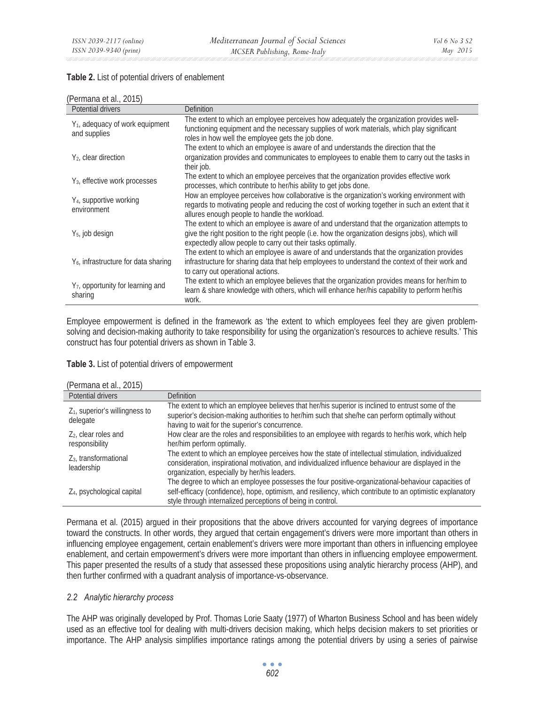(Permana et al., 2015)

| $\mathsf{I}$ villiaria vt an $\mathsf{I}$ zv rv $\mathsf{I}$ |                                                                                                                                                                                                                                                                 |
|--------------------------------------------------------------|-----------------------------------------------------------------------------------------------------------------------------------------------------------------------------------------------------------------------------------------------------------------|
| Potential drivers                                            | Definition                                                                                                                                                                                                                                                      |
| $Y_1$ , adequacy of work equipment<br>and supplies           | The extent to which an employee perceives how adequately the organization provides well-<br>functioning equipment and the necessary supplies of work materials, which play significant<br>roles in how well the employee gets the job done.                     |
| $Y2$ , clear direction                                       | The extent to which an employee is aware of and understands the direction that the<br>organization provides and communicates to employees to enable them to carry out the tasks in<br>their job.                                                                |
| Y <sub>3</sub> , effective work processes                    | The extent to which an employee perceives that the organization provides effective work<br>processes, which contribute to her/his ability to get jobs done.                                                                                                     |
| Y <sub>4</sub> , supportive working<br>environment           | How an employee perceives how collaborative is the organization's working environment with<br>regards to motivating people and reducing the cost of working together in such an extent that it<br>allures enough people to handle the workload.                 |
| $Y_5$ , job design                                           | The extent to which an employee is aware of and understand that the organization attempts to<br>give the right position to the right people (i.e. how the organization designs jobs), which will<br>expectedly allow people to carry out their tasks optimally. |
| Y <sub>6</sub> , infrastructure for data sharing             | The extent to which an employee is aware of and understands that the organization provides<br>infrastructure for sharing data that help employees to understand the context of their work and<br>to carry out operational actions.                              |
| Y <sub>7</sub> , opportunity for learning and<br>sharing     | The extent to which an employee believes that the organization provides means for her/him to<br>learn & share knowledge with others, which will enhance her/his capability to perform her/his<br>work.                                                          |

Employee empowerment is defined in the framework as 'the extent to which employees feel they are given problemsolving and decision-making authority to take responsibility for using the organization's resources to achieve results.' This construct has four potential drivers as shown in Table 3.

#### **Table 3.** List of potential drivers of empowerment

| (Permana et al., 2015)                                 |                                                                                                                                                                                                                                                                                |
|--------------------------------------------------------|--------------------------------------------------------------------------------------------------------------------------------------------------------------------------------------------------------------------------------------------------------------------------------|
| Potential drivers                                      | <b>Definition</b>                                                                                                                                                                                                                                                              |
| Z <sub>1</sub> , superior's willingness to<br>delegate | The extent to which an employee believes that her/his superior is inclined to entrust some of the<br>superior's decision-making authorities to her/him such that she/he can perform optimally without<br>having to wait for the superior's concurrence.                        |
| $Z2$ , clear roles and<br>responsibility               | How clear are the roles and responsibilities to an employee with regards to her/his work, which help<br>her/him perform optimally.                                                                                                                                             |
| $Z_3$ , transformational<br>leadership                 | The extent to which an employee perceives how the state of intellectual stimulation, individualized<br>consideration, inspirational motivation, and individualized influence behaviour are displayed in the<br>organization, especially by her/his leaders.                    |
| Z <sub>4</sub> , psychological capital                 | The degree to which an employee possesses the four positive-organizational-behaviour capacities of<br>self-efficacy (confidence), hope, optimism, and resiliency, which contribute to an optimistic explanatory<br>style through internalized perceptions of being in control. |

 $(Dormone et al. 2015)$ 

Permana et al. (2015) argued in their propositions that the above drivers accounted for varying degrees of importance toward the constructs. In other words, they argued that certain engagement's drivers were more important than others in influencing employee engagement, certain enablement's drivers were more important than others in influencing employee enablement, and certain empowerment's drivers were more important than others in influencing employee empowerment. This paper presented the results of a study that assessed these propositions using analytic hierarchy process (AHP), and then further confirmed with a quadrant analysis of importance-vs-observance.

# *2.2 Analytic hierarchy process*

The AHP was originally developed by Prof. Thomas Lorie Saaty (1977) of Wharton Business School and has been widely used as an effective tool for dealing with multi-drivers decision making, which helps decision makers to set priorities or importance. The AHP analysis simplifies importance ratings among the potential drivers by using a series of pairwise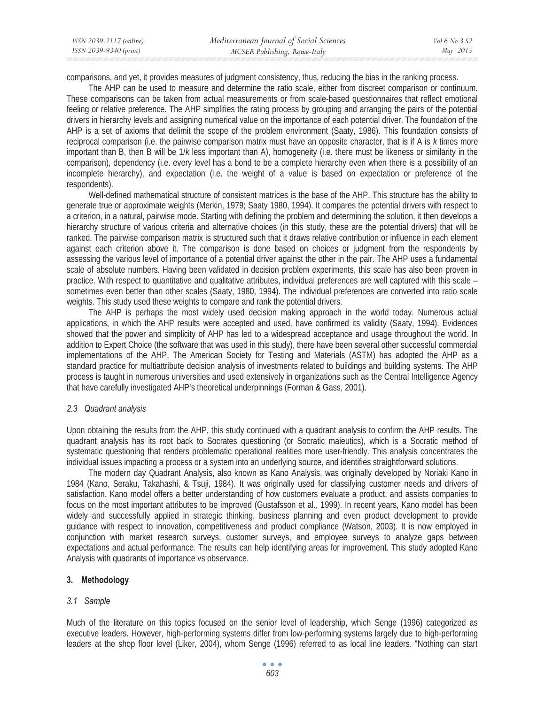comparisons, and yet, it provides measures of judgment consistency, thus, reducing the bias in the ranking process.

The AHP can be used to measure and determine the ratio scale, either from discreet comparison or continuum. These comparisons can be taken from actual measurements or from scale-based questionnaires that reflect emotional feeling or relative preference. The AHP simplifies the rating process by grouping and arranging the pairs of the potential drivers in hierarchy levels and assigning numerical value on the importance of each potential driver. The foundation of the AHP is a set of axioms that delimit the scope of the problem environment (Saaty, 1986). This foundation consists of reciprocal comparison (i.e. the pairwise comparison matrix must have an opposite character, that is if A is *k* times more important than B, then B will be 1/*k* less important than A), homogeneity (i.e. there must be likeness or similarity in the comparison), dependency (i.e. every level has a bond to be a complete hierarchy even when there is a possibility of an incomplete hierarchy), and expectation (i.e. the weight of a value is based on expectation or preference of the respondents).

Well-defined mathematical structure of consistent matrices is the base of the AHP. This structure has the ability to generate true or approximate weights (Merkin, 1979; Saaty 1980, 1994). It compares the potential drivers with respect to a criterion, in a natural, pairwise mode. Starting with defining the problem and determining the solution, it then develops a hierarchy structure of various criteria and alternative choices (in this study, these are the potential drivers) that will be ranked. The pairwise comparison matrix is structured such that it draws relative contribution or influence in each element against each criterion above it. The comparison is done based on choices or judgment from the respondents by assessing the various level of importance of a potential driver against the other in the pair. The AHP uses a fundamental scale of absolute numbers. Having been validated in decision problem experiments, this scale has also been proven in practice. With respect to quantitative and qualitative attributes, individual preferences are well captured with this scale – sometimes even better than other scales (Saaty, 1980, 1994). The individual preferences are converted into ratio scale weights. This study used these weights to compare and rank the potential drivers.

The AHP is perhaps the most widely used decision making approach in the world today. Numerous actual applications, in which the AHP results were accepted and used, have confirmed its validity (Saaty, 1994). Evidences showed that the power and simplicity of AHP has led to a widespread acceptance and usage throughout the world. In addition to Expert Choice (the software that was used in this study), there have been several other successful commercial implementations of the AHP. The American Society for Testing and Materials (ASTM) has adopted the AHP as a standard practice for multiattribute decision analysis of investments related to buildings and building systems. The AHP process is taught in numerous universities and used extensively in organizations such as the Central Intelligence Agency that have carefully investigated AHP's theoretical underpinnings (Forman & Gass, 2001).

#### *2.3 Quadrant analysis*

Upon obtaining the results from the AHP, this study continued with a quadrant analysis to confirm the AHP results. The quadrant analysis has its root back to Socrates questioning (or Socratic maieutics), which is a Socratic method of systematic questioning that renders problematic operational realities more user-friendly. This analysis concentrates the individual issues impacting a process or a system into an underlying source, and identifies straightforward solutions.

The modern day Quadrant Analysis, also known as Kano Analysis, was originally developed by Noriaki Kano in 1984 (Kano, Seraku, Takahashi, & Tsuji, 1984). It was originally used for classifying customer needs and drivers of satisfaction. Kano model offers a better understanding of how customers evaluate a product, and assists companies to focus on the most important attributes to be improved (Gustafsson et al., 1999). In recent years, Kano model has been widely and successfully applied in strategic thinking, business planning and even product development to provide guidance with respect to innovation, competitiveness and product compliance (Watson, 2003). It is now employed in conjunction with market research surveys, customer surveys, and employee surveys to analyze gaps between expectations and actual performance. The results can help identifying areas for improvement. This study adopted Kano Analysis with quadrants of importance vs observance.

# **3. Methodology**

# *3.1 Sample*

Much of the literature on this topics focused on the senior level of leadership, which Senge (1996) categorized as executive leaders. However, high-performing systems differ from low-performing systems largely due to high-performing leaders at the shop floor level (Liker, 2004), whom Senge (1996) referred to as local line leaders. "Nothing can start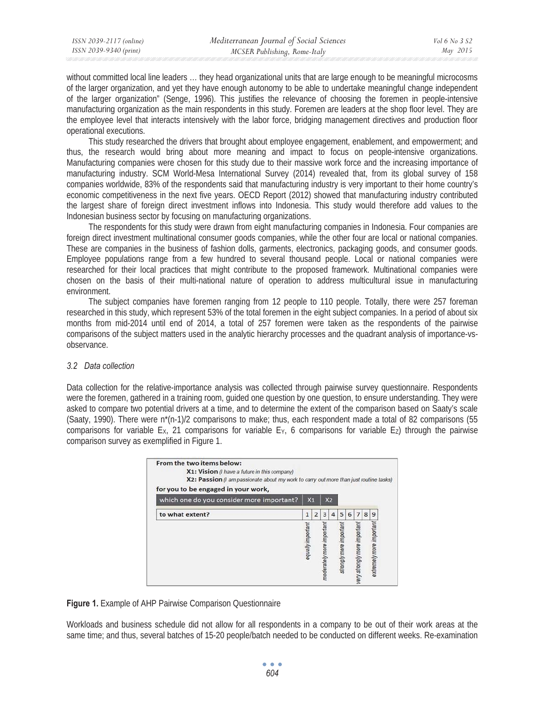without committed local line leaders ... they head organizational units that are large enough to be meaningful microcosms of the larger organization, and yet they have enough autonomy to be able to undertake meaningful change independent of the larger organization" (Senge, 1996). This justifies the relevance of choosing the foremen in people-intensive manufacturing organization as the main respondents in this study. Foremen are leaders at the shop floor level. They are the employee level that interacts intensively with the labor force, bridging management directives and production floor operational executions.

This study researched the drivers that brought about employee engagement, enablement, and empowerment; and thus, the research would bring about more meaning and impact to focus on people-intensive organizations. Manufacturing companies were chosen for this study due to their massive work force and the increasing importance of manufacturing industry. SCM World-Mesa International Survey (2014) revealed that, from its global survey of 158 companies worldwide, 83% of the respondents said that manufacturing industry is very important to their home country's economic competitiveness in the next five years. OECD Report (2012) showed that manufacturing industry contributed the largest share of foreign direct investment inflows into Indonesia. This study would therefore add values to the Indonesian business sector by focusing on manufacturing organizations.

The respondents for this study were drawn from eight manufacturing companies in Indonesia. Four companies are foreign direct investment multinational consumer goods companies, while the other four are local or national companies. These are companies in the business of fashion dolls, garments, electronics, packaging goods, and consumer goods. Employee populations range from a few hundred to several thousand people. Local or national companies were researched for their local practices that might contribute to the proposed framework. Multinational companies were chosen on the basis of their multi-national nature of operation to address multicultural issue in manufacturing environment.

The subject companies have foremen ranging from 12 people to 110 people. Totally, there were 257 foreman researched in this study, which represent 53% of the total foremen in the eight subject companies. In a period of about six months from mid-2014 until end of 2014, a total of 257 foremen were taken as the respondents of the pairwise comparisons of the subject matters used in the analytic hierarchy processes and the quadrant analysis of importance-vsobservance.

# *3.2 Data collection*

Data collection for the relative-importance analysis was collected through pairwise survey questionnaire. Respondents were the foremen, gathered in a training room, guided one question by one question, to ensure understanding. They were asked to compare two potential drivers at a time, and to determine the extent of the comparison based on Saaty's scale (Saaty, 1990). There were n\*(n-1)/2 comparisons to make; thus, each respondent made a total of 82 comparisons (55 comparisons for variable Ex, 21 comparisons for variable E $<sub>Y</sub>$ , 6 comparisons for variable E<sub>2</sub>) through the pairwise</sub> comparison survey as exemplified in Figure 1.

| From the two items below:<br>$X1: Vision (I have a future in this company)$<br>X2: Passion (I am passionate about my work to carry out more than just routine tasks)<br>for you to be engaged in your work, |                   |                |                           |                |                         |   |                              |   |                          |
|-------------------------------------------------------------------------------------------------------------------------------------------------------------------------------------------------------------|-------------------|----------------|---------------------------|----------------|-------------------------|---|------------------------------|---|--------------------------|
| which one do you consider more important?                                                                                                                                                                   | X <sub>1</sub>    |                |                           | X <sub>2</sub> |                         |   |                              |   |                          |
| to what extent?                                                                                                                                                                                             | 1                 | $\overline{2}$ | 3                         | 4              | 5                       | 6 |                              | 8 | 9                        |
|                                                                                                                                                                                                             | equally important |                | moderately more important |                | strongly more important |   | very strongly more important |   | extremely more important |

**Figure 1.** Example of AHP Pairwise Comparison Questionnaire

Workloads and business schedule did not allow for all respondents in a company to be out of their work areas at the same time; and thus, several batches of 15-20 people/batch needed to be conducted on different weeks. Re-examination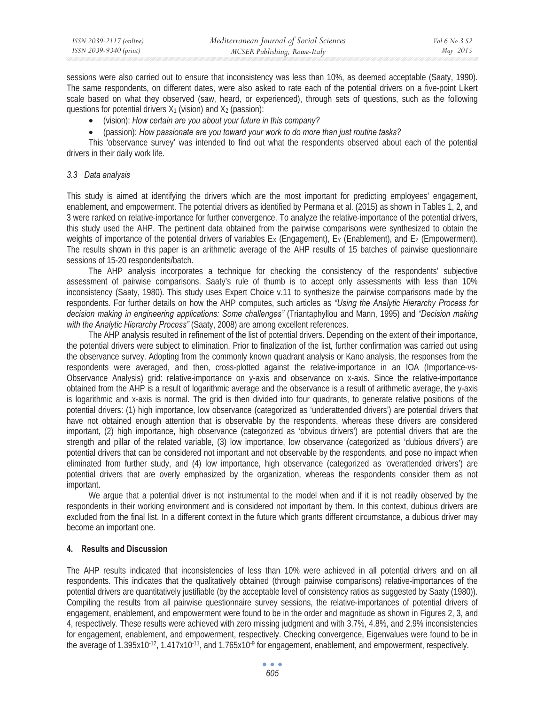| ISSN 2039-2117 (online) | Mediterranean Journal of Social Sciences | Vol 6 No 3 S2 |
|-------------------------|------------------------------------------|---------------|
| ISSN 2039-9340 (print)  | MCSER Publishing, Rome-Italy             | May 2015      |

sessions were also carried out to ensure that inconsistency was less than 10%, as deemed acceptable (Saaty, 1990). The same respondents, on different dates, were also asked to rate each of the potential drivers on a five-point Likert scale based on what they observed (saw, heard, or experienced), through sets of questions, such as the following questions for potential drivers  $X_1$  (vision) and  $X_2$  (passion):

- (vision): *How certain are you about your future in this company?*
- (passion): *How passionate are you toward your work to do more than just routine tasks?*

This 'observance survey' was intended to find out what the respondents observed about each of the potential drivers in their daily work life.

### *3.3 Data analysis*

This study is aimed at identifying the drivers which are the most important for predicting employees' engagement, enablement, and empowerment. The potential drivers as identified by Permana et al. (2015) as shown in Tables 1, 2, and 3 were ranked on relative-importance for further convergence. To analyze the relative-importance of the potential drivers, this study used the AHP. The pertinent data obtained from the pairwise comparisons were synthesized to obtain the weights of importance of the potential drivers of variables  $E_X$  (Engagement),  $E_Y$  (Enablement), and  $E_Z$  (Empowerment). The results shown in this paper is an arithmetic average of the AHP results of 15 batches of pairwise questionnaire sessions of 15-20 respondents/batch.

The AHP analysis incorporates a technique for checking the consistency of the respondents' subjective assessment of pairwise comparisons. Saaty's rule of thumb is to accept only assessments with less than 10% inconsistency (Saaty, 1980). This study uses Expert Choice v.11 to synthesize the pairwise comparisons made by the respondents. For further details on how the AHP computes, such articles as *"Using the Analytic Hierarchy Process for decision making in engineering applications: Some challenges"* (Triantaphyllou and Mann, 1995) and *"Decision making with the Analytic Hierarchy Process"* (Saaty, 2008) are among excellent references.

The AHP analysis resulted in refinement of the list of potential drivers. Depending on the extent of their importance, the potential drivers were subject to elimination. Prior to finalization of the list, further confirmation was carried out using the observance survey. Adopting from the commonly known quadrant analysis or Kano analysis, the responses from the respondents were averaged, and then, cross-plotted against the relative-importance in an IOA (Importance-vs-Observance Analysis) grid: relative-importance on y-axis and observance on x-axis. Since the relative-importance obtained from the AHP is a result of logarithmic average and the observance is a result of arithmetic average, the y-axis is logarithmic and x-axis is normal. The grid is then divided into four quadrants, to generate relative positions of the potential drivers: (1) high importance, low observance (categorized as 'underattended drivers') are potential drivers that have not obtained enough attention that is observable by the respondents, whereas these drivers are considered important, (2) high importance, high observance (categorized as 'obvious drivers') are potential drivers that are the strength and pillar of the related variable, (3) low importance, low observance (categorized as 'dubious drivers') are potential drivers that can be considered not important and not observable by the respondents, and pose no impact when eliminated from further study, and (4) low importance, high observance (categorized as 'overattended drivers') are potential drivers that are overly emphasized by the organization, whereas the respondents consider them as not important.

We argue that a potential driver is not instrumental to the model when and if it is not readily observed by the respondents in their working environment and is considered not important by them. In this context, dubious drivers are excluded from the final list. In a different context in the future which grants different circumstance, a dubious driver may become an important one.

# **4. Results and Discussion**

The AHP results indicated that inconsistencies of less than 10% were achieved in all potential drivers and on all respondents. This indicates that the qualitatively obtained (through pairwise comparisons) relative-importances of the potential drivers are quantitatively justifiable (by the acceptable level of consistency ratios as suggested by Saaty (1980)). Compiling the results from all pairwise questionnaire survey sessions, the relative-importances of potential drivers of engagement, enablement, and empowerment were found to be in the order and magnitude as shown in Figures 2, 3, and 4, respectively. These results were achieved with zero missing judgment and with 3.7%, 4.8%, and 2.9% inconsistencies for engagement, enablement, and empowerment, respectively. Checking convergence, Eigenvalues were found to be in the average of 1.395x10<sup>-12</sup>, 1.417x10<sup>-11</sup>, and 1.765x10<sup>-9</sup> for engagement, enablement, and empowerment, respectively.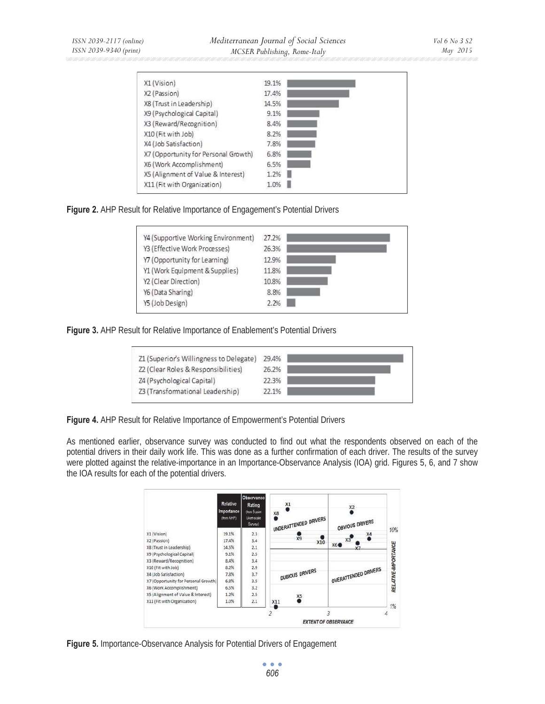





**Figure 3.** AHP Result for Relative Importance of Enablement's Potential Drivers

| Z1 (Superior's Willingness to Delegate) | 29.4% |  |
|-----------------------------------------|-------|--|
| Z2 (Clear Roles & Responsibilities)     | 26.2% |  |
| Z4 (Psychological Capital)              | 22.3% |  |
| Z3 (Transformational Leadership)        | 22.1% |  |

**Figure 4.** AHP Result for Relative Importance of Empowerment's Potential Drivers

As mentioned earlier, observance survey was conducted to find out what the respondents observed on each of the potential drivers in their daily work life. This was done as a further confirmation of each driver. The results of the survey were plotted against the relative-importance in an Importance-Observance Analysis (IOA) grid. Figures 5, 6, and 7 show the IOA results for each of the potential drivers.



**Figure 5.** Importance-Observance Analysis for Potential Drivers of Engagement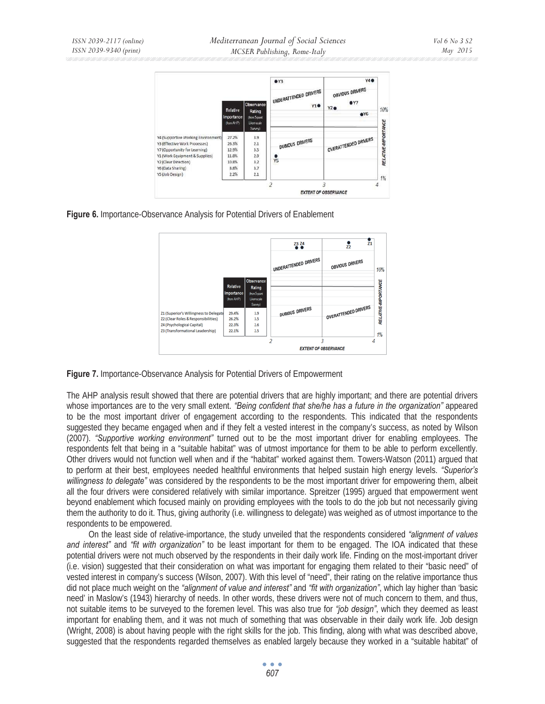





**Figure 7.** Importance-Observance Analysis for Potential Drivers of Empowerment

The AHP analysis result showed that there are potential drivers that are highly important; and there are potential drivers whose importances are to the very small extent. *"Being confident that she/he has a future in the organization"* appeared to be the most important driver of engagement according to the respondents. This indicated that the respondents suggested they became engaged when and if they felt a vested interest in the company's success, as noted by Wilson (2007). *"Supportive working environment"* turned out to be the most important driver for enabling employees. The respondents felt that being in a "suitable habitat" was of utmost importance for them to be able to perform excellently. Other drivers would not function well when and if the "habitat" worked against them. Towers-Watson (2011) argued that to perform at their best, employees needed healthful environments that helped sustain high energy levels. *"Superior's willingness to delegate"* was considered by the respondents to be the most important driver for empowering them, albeit all the four drivers were considered relatively with similar importance. Spreitzer (1995) argued that empowerment went beyond enablement which focused mainly on providing employees with the tools to do the job but not necessarily giving them the authority to do it. Thus, giving authority (i.e. willingness to delegate) was weighed as of utmost importance to the respondents to be empowered.

On the least side of relative-importance, the study unveiled that the respondents considered *"alignment of values and interest"* and *"fit with organization"* to be least important for them to be engaged. The IOA indicated that these potential drivers were not much observed by the respondents in their daily work life. Finding on the most-important driver (i.e. vision) suggested that their consideration on what was important for engaging them related to their "basic need" of vested interest in company's success (Wilson, 2007). With this level of "need", their rating on the relative importance thus did not place much weight on the *"alignment of value and interest"* and *"fit with organization"*, which lay higher than 'basic need' in Maslow's (1943) hierarchy of needs. In other words, these drivers were not of much concern to them, and thus, not suitable items to be surveyed to the foremen level. This was also true for *"job design"*, which they deemed as least important for enabling them, and it was not much of something that was observable in their daily work life. Job design (Wright, 2008) is about having people with the right skills for the job. This finding, along with what was described above, suggested that the respondents regarded themselves as enabled largely because they worked in a "suitable habitat" of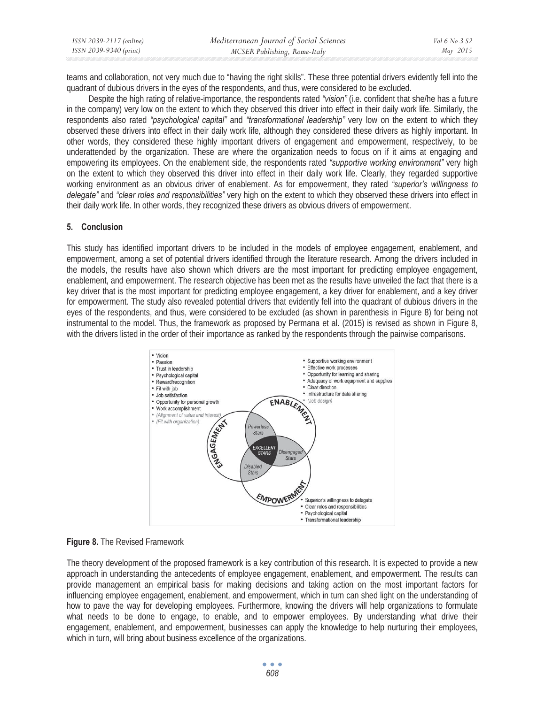| ISSN 2039-2117 (online) | Mediterranean Journal of Social Sciences | Vol 6 No 3 S2 |
|-------------------------|------------------------------------------|---------------|
| ISSN 2039-9340 (print)  | MCSER Publishing, Rome-Italy             | May 2015      |

teams and collaboration, not very much due to "having the right skills". These three potential drivers evidently fell into the quadrant of dubious drivers in the eyes of the respondents, and thus, were considered to be excluded.

Despite the high rating of relative-importance, the respondents rated *"vision"* (i.e. confident that she/he has a future in the company) very low on the extent to which they observed this driver into effect in their daily work life. Similarly, the respondents also rated *"psychological capital"* and *"transformational leadership"* very low on the extent to which they observed these drivers into effect in their daily work life, although they considered these drivers as highly important. In other words, they considered these highly important drivers of engagement and empowerment, respectively, to be underattended by the organization. These are where the organization needs to focus on if it aims at engaging and empowering its employees. On the enablement side, the respondents rated *"supportive working environment"* very high on the extent to which they observed this driver into effect in their daily work life. Clearly, they regarded supportive working environment as an obvious driver of enablement. As for empowerment, they rated *"superior's willingness to delegate"* and *"clear roles and responsibilities"* very high on the extent to which they observed these drivers into effect in their daily work life. In other words, they recognized these drivers as obvious drivers of empowerment.

### **5. Conclusion**

This study has identified important drivers to be included in the models of employee engagement, enablement, and empowerment, among a set of potential drivers identified through the literature research. Among the drivers included in the models, the results have also shown which drivers are the most important for predicting employee engagement, enablement, and empowerment. The research objective has been met as the results have unveiled the fact that there is a key driver that is the most important for predicting employee engagement, a key driver for enablement, and a key driver for empowerment. The study also revealed potential drivers that evidently fell into the quadrant of dubious drivers in the eyes of the respondents, and thus, were considered to be excluded (as shown in parenthesis in Figure 8) for being not instrumental to the model. Thus, the framework as proposed by Permana et al. (2015) is revised as shown in Figure 8, with the drivers listed in the order of their importance as ranked by the respondents through the pairwise comparisons.



# **Figure 8.** The Revised Framework

The theory development of the proposed framework is a key contribution of this research. It is expected to provide a new approach in understanding the antecedents of employee engagement, enablement, and empowerment. The results can provide management an empirical basis for making decisions and taking action on the most important factors for influencing employee engagement, enablement, and empowerment, which in turn can shed light on the understanding of how to pave the way for developing employees. Furthermore, knowing the drivers will help organizations to formulate what needs to be done to engage, to enable, and to empower employees. By understanding what drive their engagement, enablement, and empowerment, businesses can apply the knowledge to help nurturing their employees, which in turn, will bring about business excellence of the organizations.